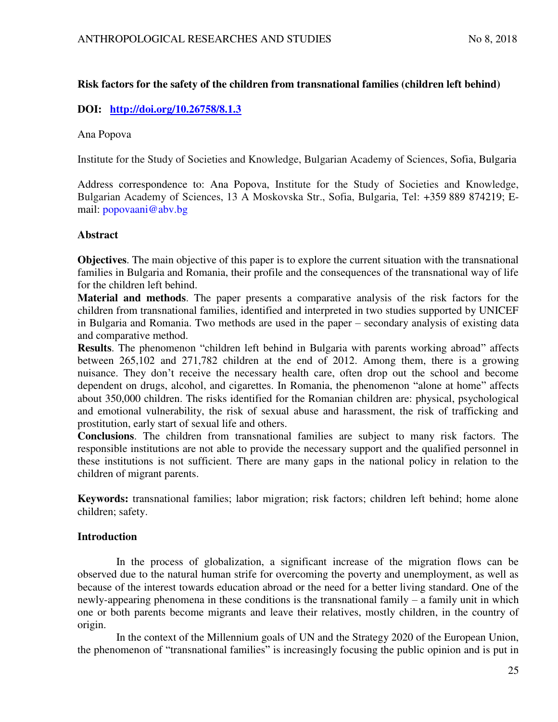## **Risk factors for the safety of the children from transnational families (children left behind)**

# **DOI: <http://doi.org/10.26758/8.1.3>**

Ana Popova

Institute for the Study of Societies and Knowledge, Bulgarian Academy of Sciences, Sofia, Bulgaria

Address correspondence to: Ana Popova, Institute for the Study of Societies and Knowledge, Bulgarian Academy of Sciences, 13 A Moskovska Str., Sofia, Bulgaria, Tel: +359 889 874219; Email: [popovaani@abv.bg](mailto:popovaani@abv.bg) 

### **Abstract**

**Objectives**. The main objective of this paper is to explore the current situation with the transnational families in Bulgaria and Romania, their profile and the consequences of the transnational way of life for the children left behind.

**Material and methods**. The paper presents a comparative analysis of the risk factors for the children from transnational families, identified and interpreted in two studies supported by UNICEF in Bulgaria and Romania. Two methods are used in the paper – secondary analysis of existing data and comparative method.

**Results**. The phenomenon "children left behind in Bulgaria with parents working abroad" affects between 265,102 and 271,782 children at the end of 2012. Among them, there is a growing nuisance. They don't receive the necessary health care, often drop out the school and become dependent on drugs, alcohol, and cigarettes. In Romania, the phenomenon "alone at home" affects about 350,000 children. The risks identified for the Romanian children are: physical, psychological and emotional vulnerability, the risk of sexual abuse and harassment, the risk of trafficking and prostitution, early start of sexual life and others.

**Conclusions**. The children from transnational families are subject to many risk factors. The responsible institutions are not able to provide the necessary support and the qualified personnel in these institutions is not sufficient. There are many gaps in the national policy in relation to the children of migrant parents.

**Keywords:** transnational families; labor migration; risk factors; children left behind; home alone children; safety.

## **Introduction**

In the process of globalization, a significant increase of the migration flows can be observed due to the natural human strife for overcoming the poverty and unemployment, as well as because of the interest towards education abroad or the need for a better living standard. One of the newly-appearing phenomena in these conditions is the transnational family – a family unit in which one or both parents become migrants and leave their relatives, mostly children, in the country of origin.

In the context of the Millennium goals of UN and the Strategy 2020 of the European Union, the phenomenon of "transnational families" is increasingly focusing the public opinion and is put in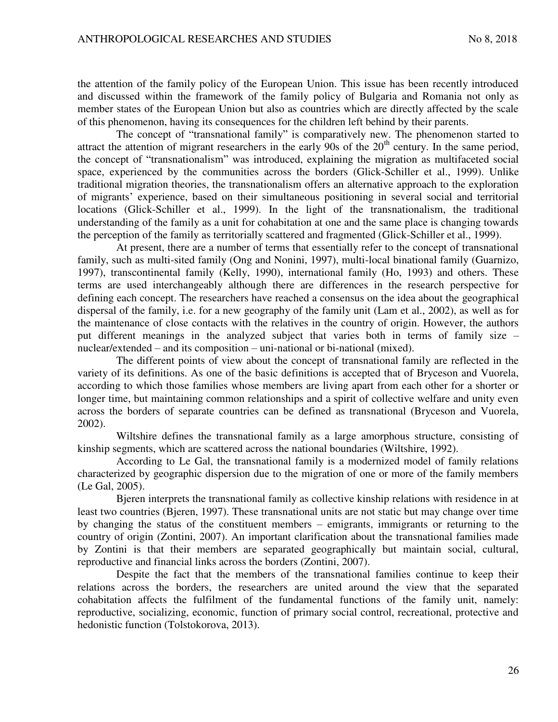the attention of the family policy of the European Union. This issue has been recently introduced and discussed within the framework of the family policy of Bulgaria and Romania not only as member states of the European Union but also as countries which are directly affected by the scale of this phenomenon, having its consequences for the children left behind by their parents.

The concept of "transnational family" is comparatively new. The phenomenon started to attract the attention of migrant researchers in the early 90s of the  $20<sup>th</sup>$  century. In the same period, the concept of "transnationalism" was introduced, explaining the migration as multifaceted social space, experienced by the communities across the borders (Glick-Schiller et al., 1999). Unlike traditional migration theories, the transnationalism offers an alternative approach to the exploration of migrants' experience, based on their simultaneous positioning in several social and territorial locations (Glick-Schiller et al., 1999). In the light of the transnationalism, the traditional understanding of the family as a unit for cohabitation at one and the same place is changing towards the perception of the family as territorially scattered and fragmented (Glick-Schiller et al., 1999).

At present, there are a number of terms that essentially refer to the concept of transnational family, such as multi-sited family (Ong and Nonini, 1997), multi-local binational family (Guarnizo, 1997), transcontinental family (Kelly, 1990), international family (Ho, 1993) and others. These terms are used interchangeably although there are differences in the research perspective for defining each concept. The researchers have reached a consensus on the idea about the geographical dispersal of the family, i.e. for a new geography of the family unit (Lam et al., 2002), as well as for the maintenance of close contacts with the relatives in the country of origin. However, the authors put different meanings in the analyzed subject that varies both in terms of family size – nuclear/extended – and its composition – uni-national or bi-national (mixed).

The different points of view about the concept of transnational family are reflected in the variety of its definitions. As one of the basic definitions is accepted that of Bryceson and Vuorela, according to which those families whose members are living apart from each other for a shorter or longer time, but maintaining common relationships and a spirit of collective welfare and unity even across the borders of separate countries can be defined as transnational (Bryceson and Vuorela, 2002).

Wiltshire defines the transnational family as a large amorphous structure, consisting of kinship segments, which are scattered across the national boundaries (Wiltshire, 1992).

According to Le Gal, the transnational family is a modernized model of family relations characterized by geographic dispersion due to the migration of one or more of the family members (Le Gal, 2005).

Bjeren interprets the transnational family as collective kinship relations with residence in at least two countries (Bjeren, 1997). These transnational units are not static but may change over time by changing the status of the constituent members – emigrants, immigrants or returning to the country of origin (Zontini, 2007). An important clarification about the transnational families made by Zontini is that their members are separated geographically but maintain social, cultural, reproductive and financial links across the borders (Zontini, 2007).

Despite the fact that the members of the transnational families continue to keep their relations across the borders, the researchers are united around the view that the separated cohabitation affects the fulfilment of the fundamental functions of the family unit, namely: reproductive, socializing, economic, function of primary social control, recreational, protective and hedonistic function (Tolstokorova, 2013).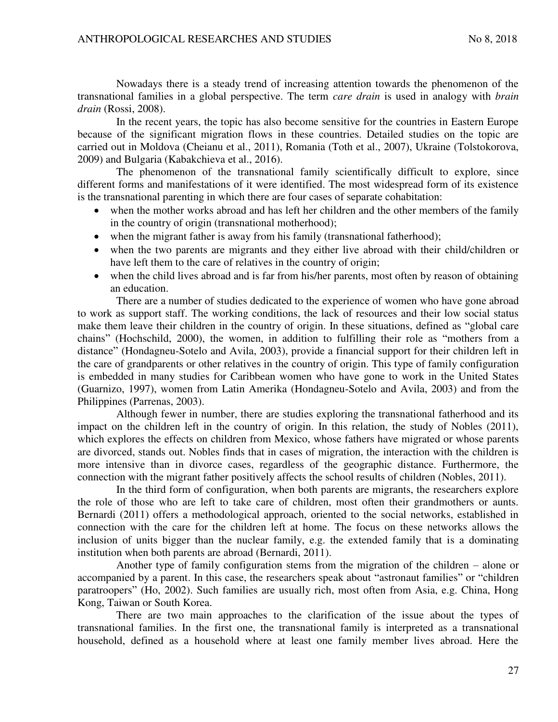Nowadays there is a steady trend of increasing attention towards the phenomenon of the transnational families in a global perspective. The term *care drain* is used in analogy with *brain drain* (Rossi, 2008).

In the recent years, the topic has also become sensitive for the countries in Eastern Europe because of the significant migration flows in these countries. Detailed studies on the topic are carried out in Moldova (Cheianu et al., 2011), Romania (Toth et al., 2007), Ukraine (Tolstokorova, 2009) and Bulgaria (Kabakchieva et al., 2016).

The phenomenon of the transnational family scientifically difficult to explore, since different forms and manifestations of it were identified. The most widespread form of its existence is the transnational parenting in which there are four cases of separate cohabitation:

- when the mother works abroad and has left her children and the other members of the family in the country of origin (transnational motherhood);
- when the migrant father is away from his family (transnational fatherhood);
- when the two parents are migrants and they either live abroad with their child/children or have left them to the care of relatives in the country of origin;
- when the child lives abroad and is far from his/her parents, most often by reason of obtaining an education.

There are a number of studies dedicated to the experience of women who have gone abroad to work as support staff. The working conditions, the lack of resources and their low social status make them leave their children in the country of origin. In these situations, defined as "global care chains" (Hochschild, 2000), the women, in addition to fulfilling their role as "mothers from a distance" (Hondagneu-Sotelo and Avila, 2003), provide a financial support for their children left in the care of grandparents or other relatives in the country of origin. This type of family configuration is embedded in many studies for Caribbean women who have gone to work in the United States (Guarnizo, 1997), women from Latin Amerika (Hondagneu-Sotelo and Avila, 2003) and from the Philippines (Parrenas, 2003).

Although fewer in number, there are studies exploring the transnational fatherhood and its impact on the children left in the country of origin. In this relation, the study of Nobles (2011), which explores the effects on children from Mexico, whose fathers have migrated or whose parents are divorced, stands out. Nobles finds that in cases of migration, the interaction with the children is more intensive than in divorce cases, regardless of the geographic distance. Furthermore, the connection with the migrant father positively affects the school results of children (Nobles, 2011).

In the third form of configuration, when both parents are migrants, the researchers explore the role of those who are left to take care of children, most often their grandmothers or aunts. Bernardi (2011) offers a methodological approach, oriented to the social networks, established in connection with the care for the children left at home. The focus on these networks allows the inclusion of units bigger than the nuclear family, e.g. the extended family that is a dominating institution when both parents are abroad (Bernardi, 2011).

Another type of family configuration stems from the migration of the children – alone or accompanied by a parent. In this case, the researchers speak about "astronaut families" or "children paratroopers" (Ho, 2002). Such families are usually rich, most often from Asia, e.g. China, Hong Kong, Taiwan or South Korea.

There are two main approaches to the clarification of the issue about the types of transnational families. In the first one, the transnational family is interpreted as a transnational household, defined as a household where at least one family member lives abroad. Here the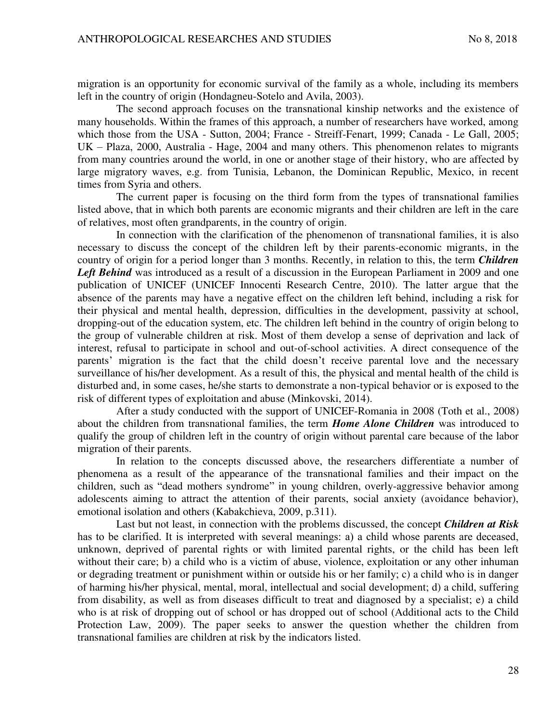migration is an opportunity for economic survival of the family as a whole, including its members left in the country of origin (Hondagneu-Sotelo and Avila, 2003).

The second approach focuses on the transnational kinship networks and the existence of many households. Within the frames of this approach, a number of researchers have worked, among which those from the USA - Sutton, 2004; France - Streiff-Fenart, 1999; Canada - Le Gall, 2005; UK – Plaza, 2000, Australia - Hage, 2004 and many others. This phenomenon relates to migrants from many countries around the world, in one or another stage of their history, who are affected by large migratory waves, e.g. from Tunisia, Lebanon, the Dominican Republic, Mexico, in recent times from Syria and others.

The current paper is focusing on the third form from the types of transnational families listed above, that in which both parents are economic migrants and their children are left in the care of relatives, most often grandparents, in the country of origin.

In connection with the clarification of the phenomenon of transnational families, it is also necessary to discuss the concept of the children left by their parents-economic migrants, in the country of origin for a period longer than 3 months. Recently, in relation to this, the term *Children*  Left Behind was introduced as a result of a discussion in the European Parliament in 2009 and one publication of UNICEF (UNICEF Innocenti Research Centre, 2010). The latter argue that the absence of the parents may have a negative effect on the children left behind, including a risk for their physical and mental health, depression, difficulties in the development, passivity at school, dropping-out of the education system, etc. The children left behind in the country of origin belong to the group of vulnerable children at risk. Most of them develop a sense of deprivation and lack of interest, refusal to participate in school and out-of-school activities. A direct consequence of the parents' migration is the fact that the child doesn't receive parental love and the necessary surveillance of his/her development. As a result of this, the physical and mental health of the child is disturbed and, in some cases, he/she starts to demonstrate a non-typical behavior or is exposed to the risk of different types of exploitation and abuse (Minkovski, 2014).

After a study conducted with the support of UNICEF-Romania in 2008 (Toth et al., 2008) about the children from transnational families, the term *Home Alone Children* was introduced to qualify the group of children left in the country of origin without parental care because of the labor migration of their parents.

In relation to the concepts discussed above, the researchers differentiate a number of phenomena as a result of the appearance of the transnational families and their impact on the children, such as "dead mothers syndrome" in young children, overly-aggressive behavior among adolescents aiming to attract the attention of their parents, social anxiety (avoidance behavior), emotional isolation and others (Kabakchieva, 2009, p.311).

Last but not least, in connection with the problems discussed, the concept *Children at Risk* has to be clarified. It is interpreted with several meanings: a) a child whose parents are deceased, unknown, deprived of parental rights or with limited parental rights, or the child has been left without their care; b) a child who is a victim of abuse, violence, exploitation or any other inhuman or degrading treatment or punishment within or outside his or her family; c) a child who is in danger of harming his/her physical, mental, moral, intellectual and social development; d) a child, suffering from disability, as well as from diseases difficult to treat and diagnosed by a specialist; e) a child who is at risk of dropping out of school or has dropped out of school (Additional acts to the Child Protection Law, 2009). The paper seeks to answer the question whether the children from transnational families are children at risk by the indicators listed.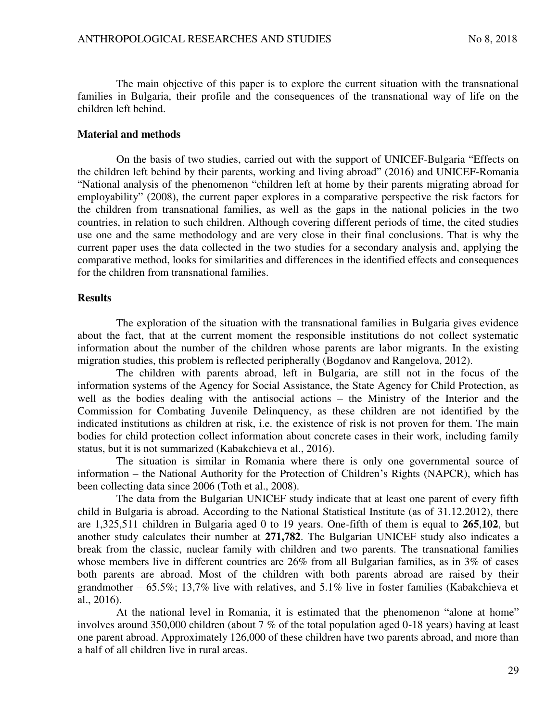The main objective of this paper is to explore the current situation with the transnational families in Bulgaria, their profile and the consequences of the transnational way of life on the children left behind.

#### **Material and methods**

On the basis of two studies, carried out with the support of UNICEF-Bulgaria "Effects on the children left behind by their parents, working and living abroad" (2016) and UNICEF-Romania "National analysis of the phenomenon "children left at home by their parents migrating abroad for employability" (2008), the current paper explores in a comparative perspective the risk factors for the children from transnational families, as well as the gaps in the national policies in the two countries, in relation to such children. Although covering different periods of time, the cited studies use one and the same methodology and are very close in their final conclusions. That is why the current paper uses the data collected in the two studies for a secondary analysis and, applying the comparative method, looks for similarities and differences in the identified effects and consequences for the children from transnational families.

#### **Results**

The exploration of the situation with the transnational families in Bulgaria gives evidence about the fact, that at the current moment the responsible institutions do not collect systematic information about the number of the children whose parents are labor migrants. In the existing migration studies, this problem is reflected peripherally (Bogdanov and Rangelova, 2012).

The children with parents abroad, left in Bulgaria, are still not in the focus of the information systems of the Agency for Social Assistance, the State Agency for Child Protection, as well as the bodies dealing with the antisocial actions – the Ministry of the Interior and the Commission for Combating Juvenile Delinquency, as these children are not identified by the indicated institutions as children at risk, i.e. the existence of risk is not proven for them. The main bodies for child protection collect information about concrete cases in their work, including family status, but it is not summarized (Kabakchieva et al., 2016).

The situation is similar in Romania where there is only one governmental source of information – the National Authority for the Protection of Children's Rights (NAPCR), which has been collecting data since 2006 (Toth et al., 2008).

The data from the Bulgarian UNICEF study indicate that at least one parent of every fifth child in Bulgaria is abroad. According to the National Statistical Institute (as of 31.12.2012), there are 1,325,511 children in Bulgaria aged 0 to 19 years. One-fifth of them is equal to **265**,**102**, but another study calculates their number at **271,782**. The Bulgarian UNICEF study also indicates a break from the classic, nuclear family with children and two parents. The transnational families whose members live in different countries are 26% from all Bulgarian families, as in 3% of cases both parents are abroad. Most of the children with both parents abroad are raised by their grandmother – 65.5%; 13,7% live with relatives, and 5.1% live in foster families (Kabakchieva et al., 2016).

At the national level in Romania, it is estimated that the phenomenon "alone at home" involves around 350,000 children (about 7 % of the total population aged 0-18 years) having at least one parent abroad. Approximately 126,000 of these children have two parents abroad, and more than a half of all children live in rural areas.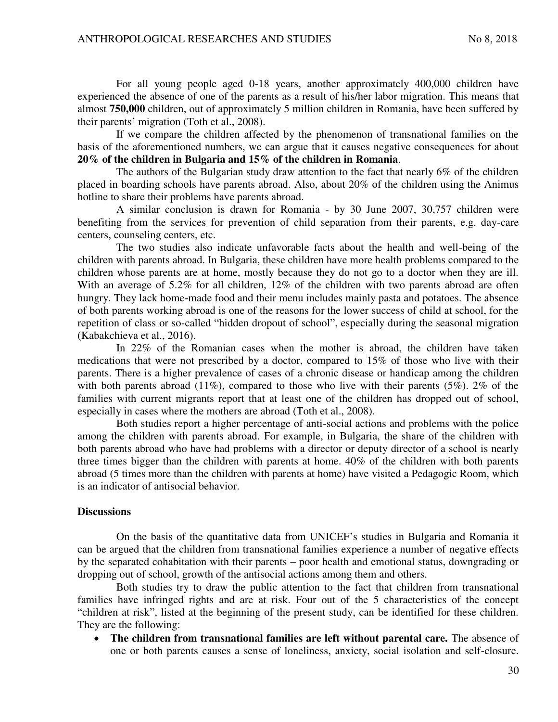For all young people aged 0-18 years, another approximately 400,000 children have experienced the absence of one of the parents as a result of his/her labor migration. This means that almost **750,000** children, out of approximately 5 million children in Romania, have been suffered by their parents' migration (Toth et al., 2008).

If we compare the children affected by the phenomenon of transnational families on the basis of the aforementioned numbers, we can argue that it causes negative consequences for about **20% of the children in Bulgaria and 15% of the children in Romania**.

The authors of the Bulgarian study draw attention to the fact that nearly 6% of the children placed in boarding schools have parents abroad. Also, about 20% of the children using the Animus hotline to share their problems have parents abroad.

A similar conclusion is drawn for Romania - by 30 June 2007, 30,757 children were benefiting from the services for prevention of child separation from their parents, e.g. day-care centers, counseling centers, etc.

The two studies also indicate unfavorable facts about the health and well-being of the children with parents abroad. In Bulgaria, these children have more health problems compared to the children whose parents are at home, mostly because they do not go to a doctor when they are ill. With an average of 5.2% for all children, 12% of the children with two parents abroad are often hungry. They lack home-made food and their menu includes mainly pasta and potatoes. The absence of both parents working abroad is one of the reasons for the lower success of child at school, for the repetition of class or so-called "hidden dropout of school", especially during the seasonal migration (Kabakchieva et al., 2016).

In 22% of the Romanian cases when the mother is abroad, the children have taken medications that were not prescribed by a doctor, compared to 15% of those who live with their parents. There is a higher prevalence of cases of a chronic disease or handicap among the children with both parents abroad (11%), compared to those who live with their parents (5%). 2% of the families with current migrants report that at least one of the children has dropped out of school, especially in cases where the mothers are abroad (Toth et al., 2008).

Both studies report a higher percentage of anti-social actions and problems with the police among the children with parents abroad. For example, in Bulgaria, the share of the children with both parents abroad who have had problems with a director or deputy director of a school is nearly three times bigger than the children with parents at home. 40% of the children with both parents abroad (5 times more than the children with parents at home) have visited a Pedagogic Room, which is an indicator of antisocial behavior.

### **Discussions**

On the basis of the quantitative data from UNICEF's studies in Bulgaria and Romania it can be argued that the children from transnational families experience a number of negative effects by the separated cohabitation with their parents – poor health and emotional status, downgrading or dropping out of school, growth of the antisocial actions among them and others.

Both studies try to draw the public attention to the fact that children from transnational families have infringed rights and are at risk. Four out of the 5 characteristics of the concept "children at risk", listed at the beginning of the present study, can be identified for these children. They are the following:

 **The children from transnational families are left without parental care.** The absence of one or both parents causes a sense of loneliness, anxiety, social isolation and self-closure.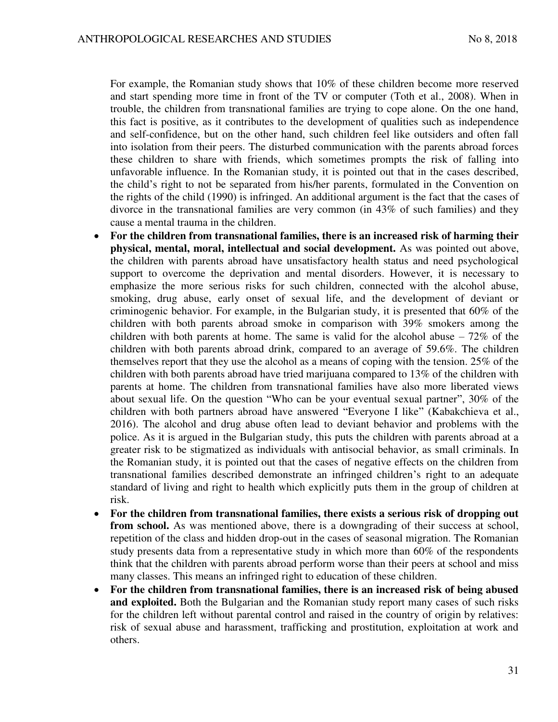For example, the Romanian study shows that 10% of these children become more reserved and start spending more time in front of the TV or computer (Toth et al., 2008). When in trouble, the children from transnational families are trying to cope alone. On the one hand, this fact is positive, as it contributes to the development of qualities such as independence and self-confidence, but on the other hand, such children feel like outsiders and often fall into isolation from their peers. The disturbed communication with the parents abroad forces these children to share with friends, which sometimes prompts the risk of falling into unfavorable influence. In the Romanian study, it is pointed out that in the cases described, the child's right to not be separated from his/her parents, formulated in the Convention on the rights of the child (1990) is infringed. An additional argument is the fact that the cases of divorce in the transnational families are very common (in 43% of such families) and they cause a mental trauma in the children.

- **For the children from transnational families, there is an increased risk of harming their physical, mental, moral, intellectual and social development.** As was pointed out above, the children with parents abroad have unsatisfactory health status and need psychological support to overcome the deprivation and mental disorders. However, it is necessary to emphasize the more serious risks for such children, connected with the alcohol abuse, smoking, drug abuse, early onset of sexual life, and the development of deviant or criminogenic behavior. For example, in the Bulgarian study, it is presented that 60% of the children with both parents abroad smoke in comparison with 39% smokers among the children with both parents at home. The same is valid for the alcohol abuse  $-72\%$  of the children with both parents abroad drink, compared to an average of 59.6%. The children themselves report that they use the alcohol as a means of coping with the tension. 25% of the children with both parents abroad have tried marijuana compared to 13% of the children with parents at home. The children from transnational families have also more liberated views about sexual life. On the question "Who can be your eventual sexual partner", 30% of the children with both partners abroad have answered "Everyone I like" (Kabakchieva et al., 2016). The alcohol and drug abuse often lead to deviant behavior and problems with the police. As it is argued in the Bulgarian study, this puts the children with parents abroad at a greater risk to be stigmatized as individuals with antisocial behavior, as small criminals. In the Romanian study, it is pointed out that the cases of negative effects on the children from transnational families described demonstrate an infringed children's right to an adequate standard of living and right to health which explicitly puts them in the group of children at risk.
- **For the children from transnational families, there exists a serious risk of dropping out from school.** As was mentioned above, there is a downgrading of their success at school, repetition of the class and hidden drop-out in the cases of seasonal migration. The Romanian study presents data from a representative study in which more than 60% of the respondents think that the children with parents abroad perform worse than their peers at school and miss many classes. This means an infringed right to education of these children.
- **For the children from transnational families, there is an increased risk of being abused and exploited.** Both the Bulgarian and the Romanian study report many cases of such risks for the children left without parental control and raised in the country of origin by relatives: risk of sexual abuse and harassment, trafficking and prostitution, exploitation at work and others.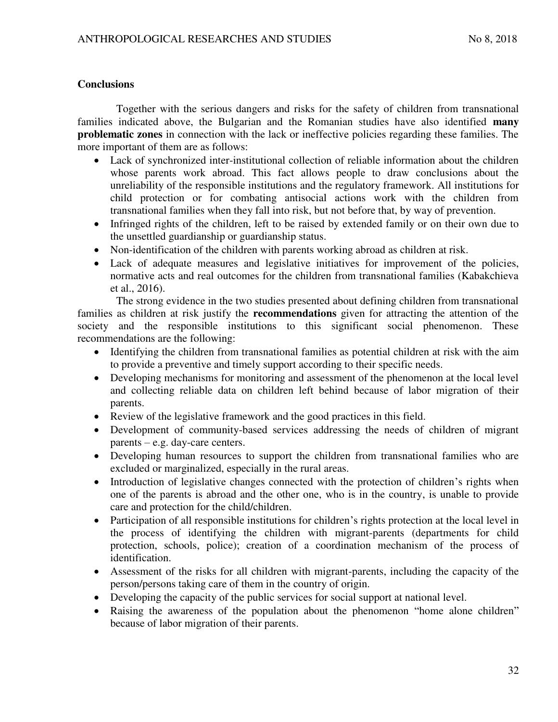### **Conclusions**

Together with the serious dangers and risks for the safety of children from transnational families indicated above, the Bulgarian and the Romanian studies have also identified **many problematic zones** in connection with the lack or ineffective policies regarding these families. The more important of them are as follows:

- Lack of synchronized inter-institutional collection of reliable information about the children whose parents work abroad. This fact allows people to draw conclusions about the unreliability of the responsible institutions and the regulatory framework. All institutions for child protection or for combating antisocial actions work with the children from transnational families when they fall into risk, but not before that, by way of prevention.
- Infringed rights of the children, left to be raised by extended family or on their own due to the unsettled guardianship or guardianship status.
- Non-identification of the children with parents working abroad as children at risk.
- Lack of adequate measures and legislative initiatives for improvement of the policies, normative acts and real outcomes for the children from transnational families (Kabakchieva et al., 2016).

The strong evidence in the two studies presented about defining children from transnational families as children at risk justify the **recommendations** given for attracting the attention of the society and the responsible institutions to this significant social phenomenon. These recommendations are the following:

- Identifying the children from transnational families as potential children at risk with the aim to provide a preventive and timely support according to their specific needs.
- Developing mechanisms for monitoring and assessment of the phenomenon at the local level and collecting reliable data on children left behind because of labor migration of their parents.
- Review of the legislative framework and the good practices in this field.
- Development of community-based services addressing the needs of children of migrant parents – e.g. day-care centers.
- Developing human resources to support the children from transnational families who are excluded or marginalized, especially in the rural areas.
- Introduction of legislative changes connected with the protection of children's rights when one of the parents is abroad and the other one, who is in the country, is unable to provide care and protection for the child/children.
- Participation of all responsible institutions for children's rights protection at the local level in the process of identifying the children with migrant-parents (departments for child protection, schools, police); creation of a coordination mechanism of the process of identification.
- Assessment of the risks for all children with migrant-parents, including the capacity of the person/persons taking care of them in the country of origin.
- Developing the capacity of the public services for social support at national level.
- Raising the awareness of the population about the phenomenon "home alone children" because of labor migration of their parents.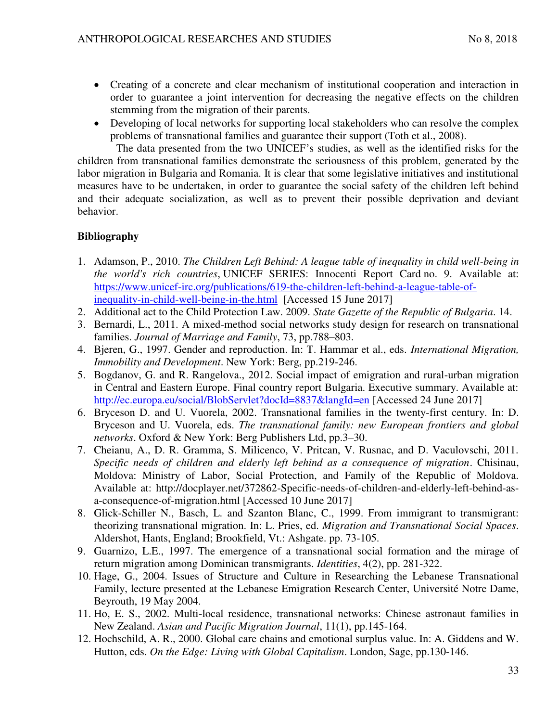- Creating of a concrete and clear mechanism of institutional cooperation and interaction in order to guarantee a joint intervention for decreasing the negative effects on the children stemming from the migration of their parents.
- Developing of local networks for supporting local stakeholders who can resolve the complex problems of transnational families and guarantee their support (Toth et al., 2008).

The data presented from the two UNICEF's studies, as well as the identified risks for the children from transnational families demonstrate the seriousness of this problem, generated by the labor migration in Bulgaria and Romania. It is clear that some legislative initiatives and institutional measures have to be undertaken, in order to guarantee the social safety of the children left behind and their adequate socialization, as well as to prevent their possible deprivation and deviant behavior.

# **Bibliography**

- 1. Adamson, P., 2010. *The Children Left Behind: A league table of inequality in child well-being in the world's rich countries*, UNICEF SERIES: Innocenti Report Card no. 9. Available at: [https://www.unicef-irc.org/publications/619-the-children-left-behind-a-league-table-of](https://www.unicef-irc.org/publications/619-the-children-left-behind-a-league-table-of-inequality-in-child-well-being-in-the.html)[inequality-in-child-well-being-in-the.html](https://www.unicef-irc.org/publications/619-the-children-left-behind-a-league-table-of-inequality-in-child-well-being-in-the.html) [Accessed 15 June 2017]
- 2. Additional act to the Child Protection Law. 2009. *State Gazette of the Republic of Bulgaria*. 14.
- 3. Bernardi, L., 2011. A mixed-method social networks study design for research on transnational families. *Journal of Marriage and Family*, 73, pp.788–803.
- 4. Bjeren, G., 1997. Gender and reproduction. In: T. Hammar et al., eds. *International Migration, Immobility and Development*. New York: Berg, pp.219-246.
- 5. Bogdanov, G. and R. Rangelova., 2012. Social impact of emigration and rural-urban migration in Central and Eastern Europe. Final country report Bulgaria. Executive summary. Available at: <http://ec.europa.eu/social/BlobServlet?docId=8837&langId=en>[Accessed 24 June 2017]
- 6. Bryceson D. and U. Vuorela, 2002. Transnational families in the twenty-first century. In: D. Bryceson and U. Vuorela, eds. *The transnational family: new European frontiers and global networks*. Oxford & New York: Berg Publishers Ltd, pp.3–30.
- 7. Cheianu, A., D. R. Gramma, S. Milicenco, V. Pritcan, V. Rusnac, and D. Vaculovschi, 2011. *Specific needs of children and elderly left behind as a consequence of migration*. Chisinau, Moldova: Ministry of Labor, Social Protection, and Family of the Republic of Moldova. Available at: http://docplayer.net/372862-Specific-needs-of-children-and-elderly-left-behind-asa-consequence-of-migration.html [Accessed 10 June 2017]
- 8. Glick-Schiller N., Basch, L. and Szanton Blanc, C., 1999. From immigrant to transmigrant: theorizing transnational migration. In: L. Pries, ed. *Migration and Transnational Social Spaces*. Aldershot, Hants, England; Brookfield, Vt.: Ashgate. pp. 73-105.
- 9. Guarnizo, L.E., 1997. The emergence of a transnational social formation and the mirage of return migration among Dominican transmigrants. *Identities*, 4(2), pp. 281-322.
- 10. Hage, G., 2004. Issues of Structure and Culture in Researching the Lebanese Transnational Family, lecture presented at the Lebanese Emigration Research Center, Université Notre Dame, Beyrouth, 19 May 2004.
- 11. Ho, E. S., 2002. Multi-local residence, transnational networks: Chinese astronaut families in New Zealand. *Asian and Pacific Migration Journal*, 11(1), pp.145-164.
- 12. Hochschild, A. R., 2000. Global care chains and emotional surplus value. In: A. Giddens and W. Hutton, eds. *On the Edge: Living with Global Capitalism*. London, Sage, pp.130-146.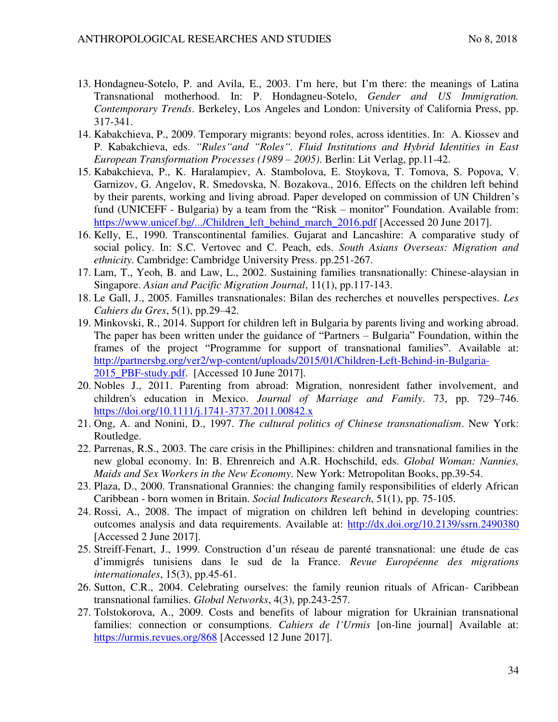- 13. Hondagneu-Sotelo, P. and Avila, E., 2003. I'm here, but I'm there: the meanings of Latina Transnational motherhood. In: P. Hondagneu-Sotelo, *Gender and US Immigration. Contemporary Trends*. Berkeley, Los Angeles and London: University of California Press, pp. 317-341.
- 14. Kabakchieva, P., 2009. Temporary migrants: beyond roles, across identities. In: A. Kiossev and P. Kabakchieva, eds. *"Rules"and "Roles". Fluid Institutions and Hybrid Identities in East European Transformation Processes (1989 – 2005)*. Berlin: Lit Verlag, pp.11-42.
- 15. Kabakchieva, P., K. Haralampiev, A. Stambolova, E. Stoykova, T. Tomova, S. Popova, V. Garnizov, G. Angelov, R. Smedovska, N. Bozakova., 2016. Effects on the children left behind by their parents, working and living abroad. Paper developed on commission of UN Children's fund (UNICEFF - Bulgaria) by a team from the "Risk – monitor" Foundation. Available from: [https://www.unicef.bg/.../Children\\_left\\_behind\\_march\\_2016.pdf](https://www.unicef.bg/.../Children_left_behind_march_2016.pdf) [Accessed 20 June 2017].
- 16. Kelly, E., 1990. Transcontinental families. Gujarat and Lancashire: A comparative study of social policy. In: S.C. Vertovec and C. Peach, eds. *South Asians Overseas: Migration and ethnicity*. Cambridge: Cambridge University Press. pp.251-267.
- 17. Lam, T., Yeoh, B. and Law, L., 2002. Sustaining families transnationally: Chinese-alaysian in Singapore. *Asian and Pacific Migration Journal*, 11(1), pp.117-143.
- 18. Le Gall, J., 2005. Familles transnationales: Bilan des recherches et nouvelles perspectives. *Les Cahiers du Gres*, 5(1), рp.29–42.
- 19. Minkovski, R., 2014. Support for children left in Bulgaria by parents living and working abroad. The paper has been written under the guidance of "Partners – Bulgaria" Foundation, within the frames of the project "Programme for support of transnational families". Available at: [http://partnersbg.org/ver2/wp-content/uploads/2015/01/Children-Left-Behind-in-Bulgaria-](http://partnersbg.org/ver2/wp-content/uploads/2015/01/Children-Left-Behind-in-Bulgaria-2015_PBF-study.pdf)2015 PBF-study.pdf. [Accessed 10 June 2017].
- 20. Nobles J., 2011. Parenting from abroad: Migration, nonresident father involvement, and children's education in Mexico. *Journal of Marriage and Family*. 73, pp. 729–746. <https://doi.org/10.1111/j.1741-3737.2011.00842.x>
- 21. Ong, A. and Nonini, D., 1997. *The cultural politics of Chinese transnationalism*. New York: Routledge.
- 22. Parrenas, R.S., 2003. The care crisis in the Phillipines: children and transnational families in the new global economy. In: B. Ehrenreich and A.R. Hochschild, eds. *Global Woman: Nannies, Maids and Sex Workers in the New Economy*. New York: Metropolitan Books, pp.39-54.
- 23. Plaza, D., 2000. Transnational Grannies: the changing family responsibilities of elderly African Caribbean - born women in Britain. *Social Indicators Research*, 51(1), pp. 75-105.
- 24. Rossi, A., 2008. The impact of migration on children left behind in developing countries: outcomes analysis and data requirements. Available at:<http://dx.doi.org/10.2139/ssrn.2490380> [Accessed 2 June 2017].
- 25. Streiff-Fenart, J., 1999. Construction d'un réseau de parenté transnational: une étude de cas d'immigrés tunisiens dans le sud de la France. *Revue Européenne des migrations internationales*, 15(3), pp.45-61.
- 26. Sutton, C.R., 2004. Celebrating ourselves: the family reunion rituals of African- Caribbean transnational families. *Global Networks*, 4(3), pp.243-257.
- 27. Tolstokorova, A., 2009. Costs and benefits of labour migration for Ukrainian transnational families: connection or consumptions. *Cahiers de l'Urmis* [on-line journal] Available at: <https://urmis.revues.org/868>[Accessed 12 June 2017].